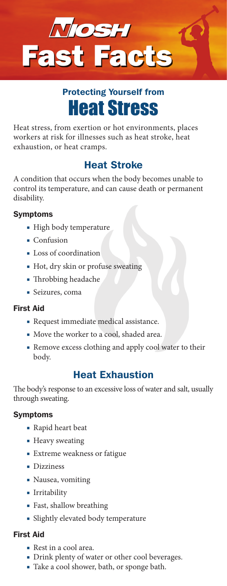

# Heat Stress Protecting Yourself from

Heat stress, from exertion or hot environments, places workers at risk for illnesses such as heat stroke, heat exhaustion, or heat cramps.

## Heat Stroke

A condition that occurs when the body becomes unable to control its temperature, and can cause death or permanent disability.

### Symptoms

- High body temperature
- Confusion
- Loss of coordination
- Hot, dry skin or profuse sweating
- Throbbing headache
- Seizures, coma

#### First Aid

- Request immediate medical assistance.
- Move the worker to a cool, shaded area.
- Remove excess clothing and apply cool water to their body.

## Heat Exhaustion

The body's response to an excessive loss of water and salt, usually through sweating.

#### Symptoms

- Rapid heart beat
- Heavy sweating
- Extreme weakness or fatigue
- Dizziness
- Nausea, vomiting
- Irritability
- Fast, shallow breathing
- Slightly elevated body temperature

#### First Aid

- Rest in a cool area.
- Drink plenty of water or other cool beverages.
- Take a cool shower, bath, or sponge bath.